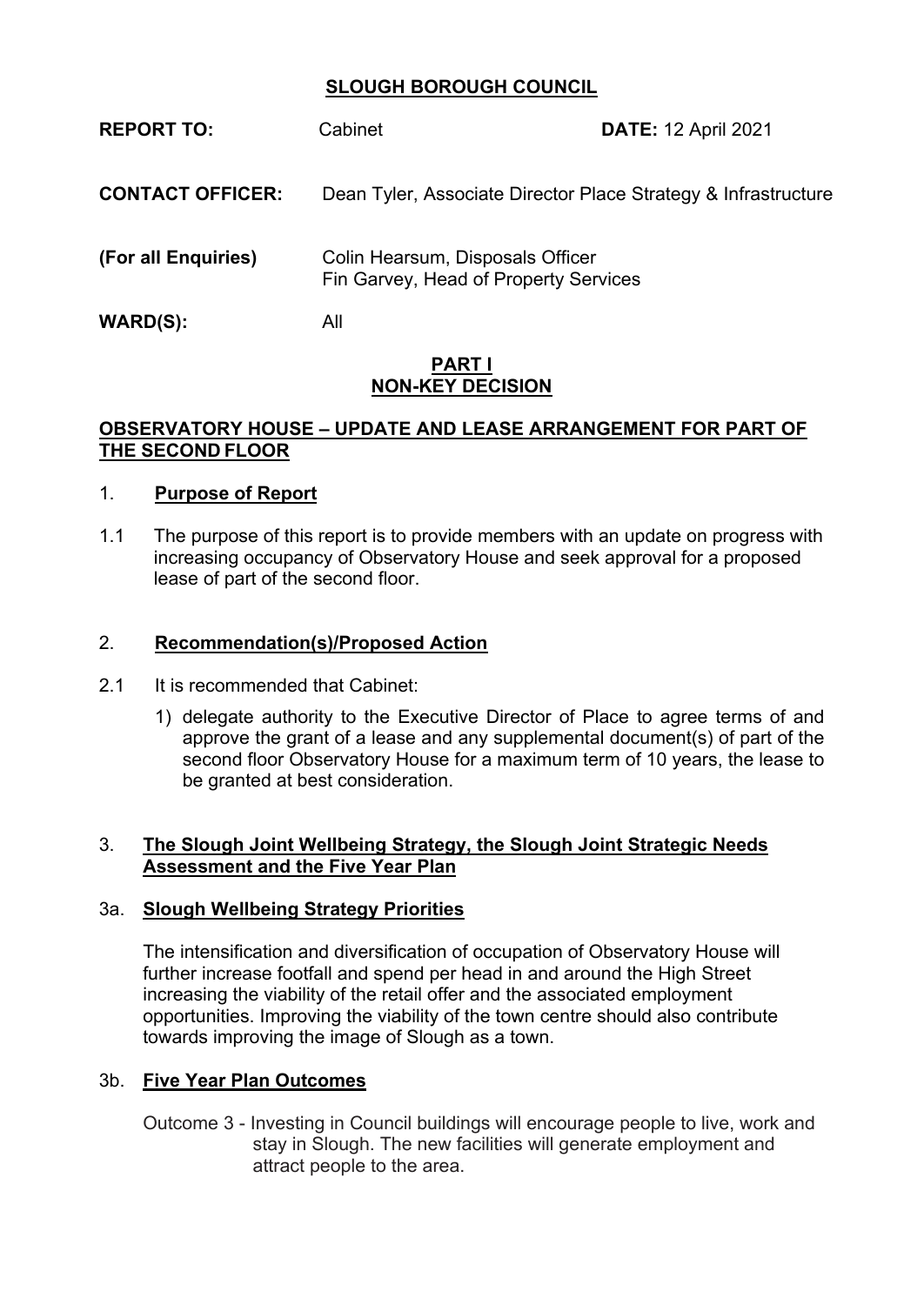# **SLOUGH BOROUGH COUNCIL**

| <b>REPORT TO:</b>       | Cabinet                                                                   | <b>DATE: 12 April 2021</b> |
|-------------------------|---------------------------------------------------------------------------|----------------------------|
| <b>CONTACT OFFICER:</b> | Dean Tyler, Associate Director Place Strategy & Infrastructure            |                            |
| (For all Enquiries)     | Colin Hearsum, Disposals Officer<br>Fin Garvey, Head of Property Services |                            |
| <b>WARD(S):</b>         | All                                                                       |                            |

#### **PART I NON-KEY DECISION**

### **OBSERVATORY HOUSE – UPDATE AND LEASE ARRANGEMENT FOR PART OF THE SECOND FLOOR**

### 1. **Purpose of Report**

1.1 The purpose of this report is to provide members with an update on progress with increasing occupancy of Observatory House and seek approval for a proposed lease of part of the second floor.

#### 2. **Recommendation(s)/Proposed Action**

- 2.1 It is recommended that Cabinet:
	- 1) delegate authority to the Executive Director of Place to agree terms of and approve the grant of a lease and any supplemental document(s) of part of the second floor Observatory House for a maximum term of 10 years, the lease to be granted at best consideration.

#### 3. **The Slough Joint Wellbeing Strategy, the Slough Joint Strategic Needs Assessment and the Five Year Plan**

#### 3a. **Slough Wellbeing Strategy Priorities**

The intensification and diversification of occupation of Observatory House will further increase footfall and spend per head in and around the High Street increasing the viability of the retail offer and the associated employment opportunities. Improving the viability of the town centre should also contribute towards improving the image of Slough as a town.

#### 3b. **Five Year Plan Outcomes**

Outcome 3 - Investing in Council buildings will encourage people to live, work and stay in Slough. The new facilities will generate employment and attract people to the area.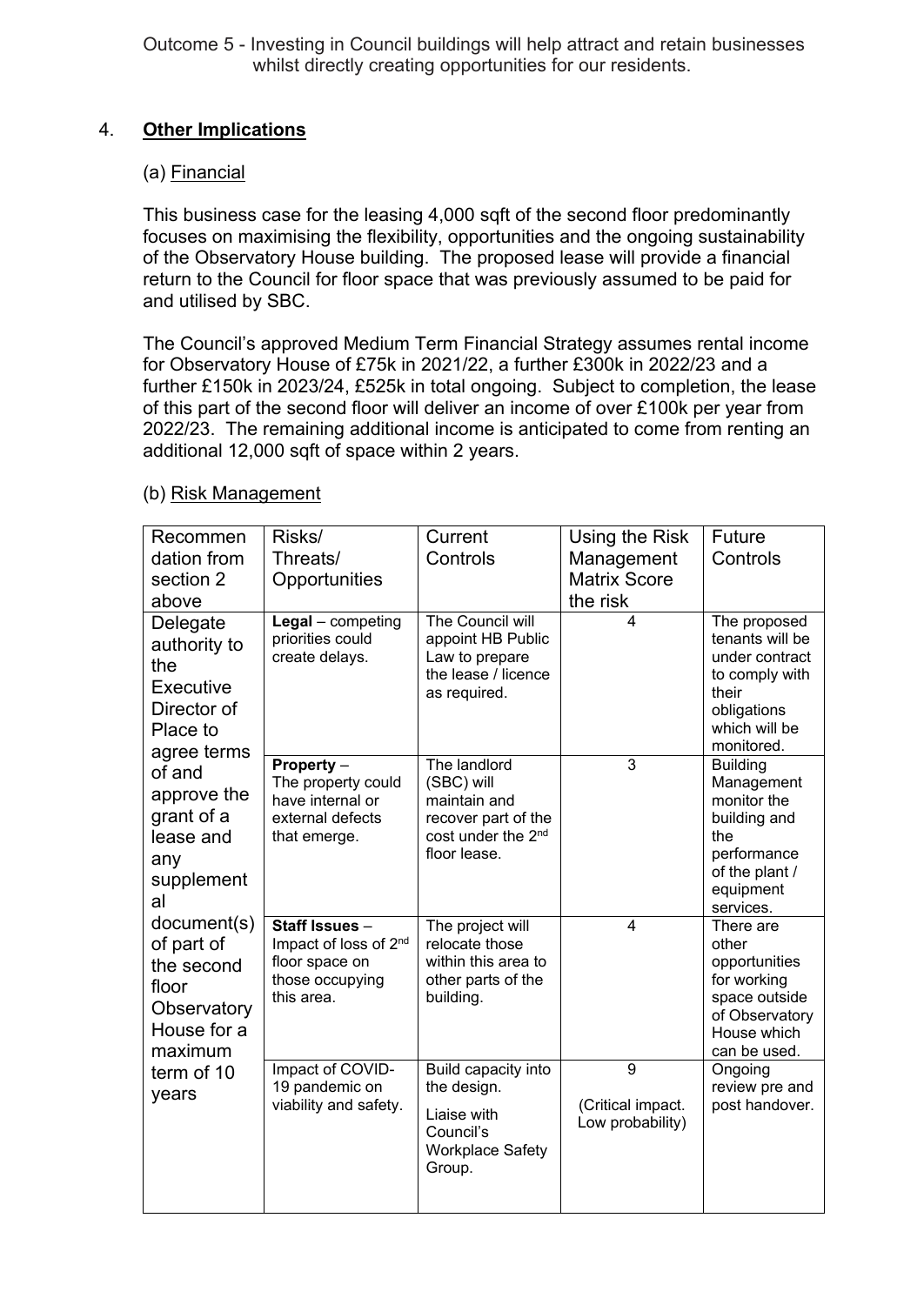Outcome 5 - Investing in Council buildings will help attract and retain businesses whilst directly creating opportunities for our residents.

## 4. **Other Implications**

### (a) Financial

This business case for the leasing 4,000 sqft of the second floor predominantly focuses on maximising the flexibility, opportunities and the ongoing sustainability of the Observatory House building. The proposed lease will provide a financial return to the Council for floor space that was previously assumed to be paid for and utilised by SBC.

The Council's approved Medium Term Financial Strategy assumes rental income for Observatory House of £75k in 2021/22, a further £300k in 2022/23 and a further £150k in 2023/24, £525k in total ongoing. Subject to completion, the lease of this part of the second floor will deliver an income of over £100k per year from 2022/23. The remaining additional income is anticipated to come from renting an additional 12,000 sqft of space within 2 years.

| Recommen                                                                                                                                                                                        | Risks/                                                                                     | Current                                                                                                             | Using the Risk                             | Future                                                                                                                         |
|-------------------------------------------------------------------------------------------------------------------------------------------------------------------------------------------------|--------------------------------------------------------------------------------------------|---------------------------------------------------------------------------------------------------------------------|--------------------------------------------|--------------------------------------------------------------------------------------------------------------------------------|
| dation from                                                                                                                                                                                     | Threats/                                                                                   | Controls                                                                                                            | Management                                 | Controls                                                                                                                       |
| section 2                                                                                                                                                                                       | Opportunities                                                                              |                                                                                                                     | <b>Matrix Score</b>                        |                                                                                                                                |
| above                                                                                                                                                                                           |                                                                                            |                                                                                                                     | the risk                                   |                                                                                                                                |
| Delegate<br>authority to<br>the<br>Executive<br>Director of<br>Place to                                                                                                                         | $Legal$ - competing<br>priorities could<br>create delays.                                  | The Council will<br>appoint HB Public<br>Law to prepare<br>the lease / licence<br>as required.                      | 4                                          | The proposed<br>tenants will be<br>under contract<br>to comply with<br>their<br>obligations<br>which will be                   |
| agree terms                                                                                                                                                                                     |                                                                                            |                                                                                                                     | 3                                          | monitored.                                                                                                                     |
| of and<br>approve the<br>grant of a<br>lease and<br>any<br>supplement<br>al<br>document(s)<br>of part of<br>the second<br>floor<br>Observatory<br>House for a<br>maximum<br>term of 10<br>years | Property -<br>The property could<br>have internal or<br>external defects<br>that emerge.   | The landlord<br>(SBC) will<br>maintain and<br>recover part of the<br>cost under the 2 <sup>nd</sup><br>floor lease. |                                            | <b>Building</b><br>Management<br>monitor the<br>building and<br>the<br>performance<br>of the plant /<br>equipment<br>services. |
|                                                                                                                                                                                                 | Staff Issues -<br>Impact of loss of 2nd<br>floor space on<br>those occupying<br>this area. | The project will<br>relocate those<br>within this area to<br>other parts of the<br>building.                        | $\overline{4}$                             | There are<br>other<br>opportunities<br>for working<br>space outside<br>of Observatory<br>House which<br>can be used.           |
|                                                                                                                                                                                                 | Impact of COVID-<br>19 pandemic on<br>viability and safety.                                | Build capacity into<br>the design.<br>Liaise with<br>Council's<br><b>Workplace Safety</b><br>Group.                 | 9<br>(Critical impact.<br>Low probability) | Ongoing<br>review pre and<br>post handover.                                                                                    |

#### (b) Risk Management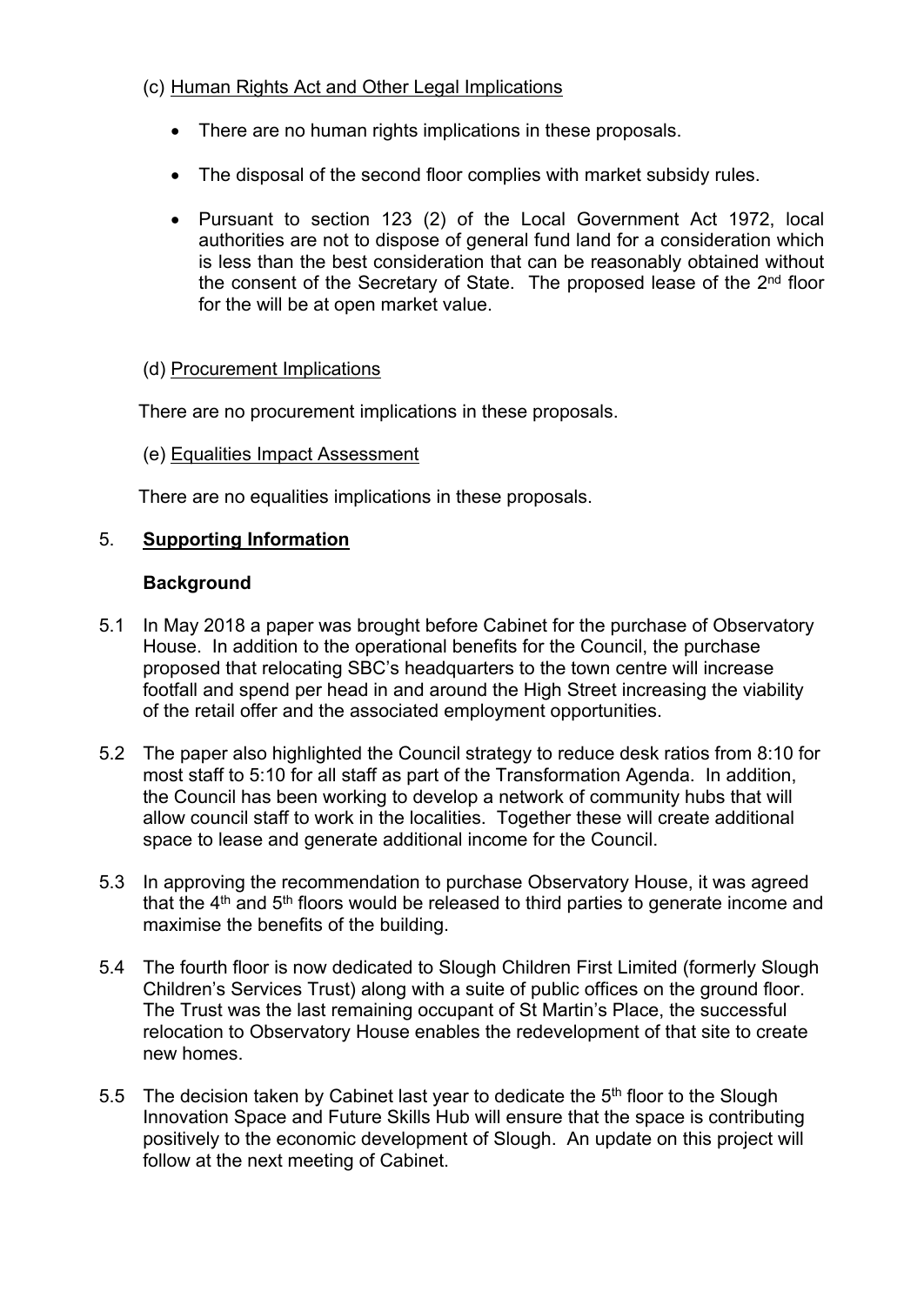# (c) Human Rights Act and Other Legal Implications

- There are no human rights implications in these proposals.
- The disposal of the second floor complies with market subsidy rules.
- Pursuant to section 123 (2) of the Local Government Act 1972, local authorities are not to dispose of general fund land for a consideration which is less than the best consideration that can be reasonably obtained without the consent of the Secretary of State. The proposed lease of the 2<sup>nd</sup> floor for the will be at open market value.

# (d) Procurement Implications

There are no procurement implications in these proposals.

# (e) Equalities Impact Assessment

There are no equalities implications in these proposals.

# 5. **Supporting Information**

# **Background**

- 5.1 In May 2018 a paper was brought before Cabinet for the purchase of Observatory House. In addition to the operational benefits for the Council, the purchase proposed that relocating SBC's headquarters to the town centre will increase footfall and spend per head in and around the High Street increasing the viability of the retail offer and the associated employment opportunities.
- 5.2 The paper also highlighted the Council strategy to reduce desk ratios from 8:10 for most staff to 5:10 for all staff as part of the Transformation Agenda. In addition, the Council has been working to develop a network of community hubs that will allow council staff to work in the localities. Together these will create additional space to lease and generate additional income for the Council.
- 5.3 In approving the recommendation to purchase Observatory House, it was agreed that the 4<sup>th</sup> and 5<sup>th</sup> floors would be released to third parties to generate income and maximise the benefits of the building.
- 5.4 The fourth floor is now dedicated to Slough Children First Limited (formerly Slough Children's Services Trust) along with a suite of public offices on the ground floor. The Trust was the last remaining occupant of St Martin's Place, the successful relocation to Observatory House enables the redevelopment of that site to create new homes.
- 5.5 The decision taken by Cabinet last year to dedicate the  $5<sup>th</sup>$  floor to the Slough Innovation Space and Future Skills Hub will ensure that the space is contributing positively to the economic development of Slough. An update on this project will follow at the next meeting of Cabinet.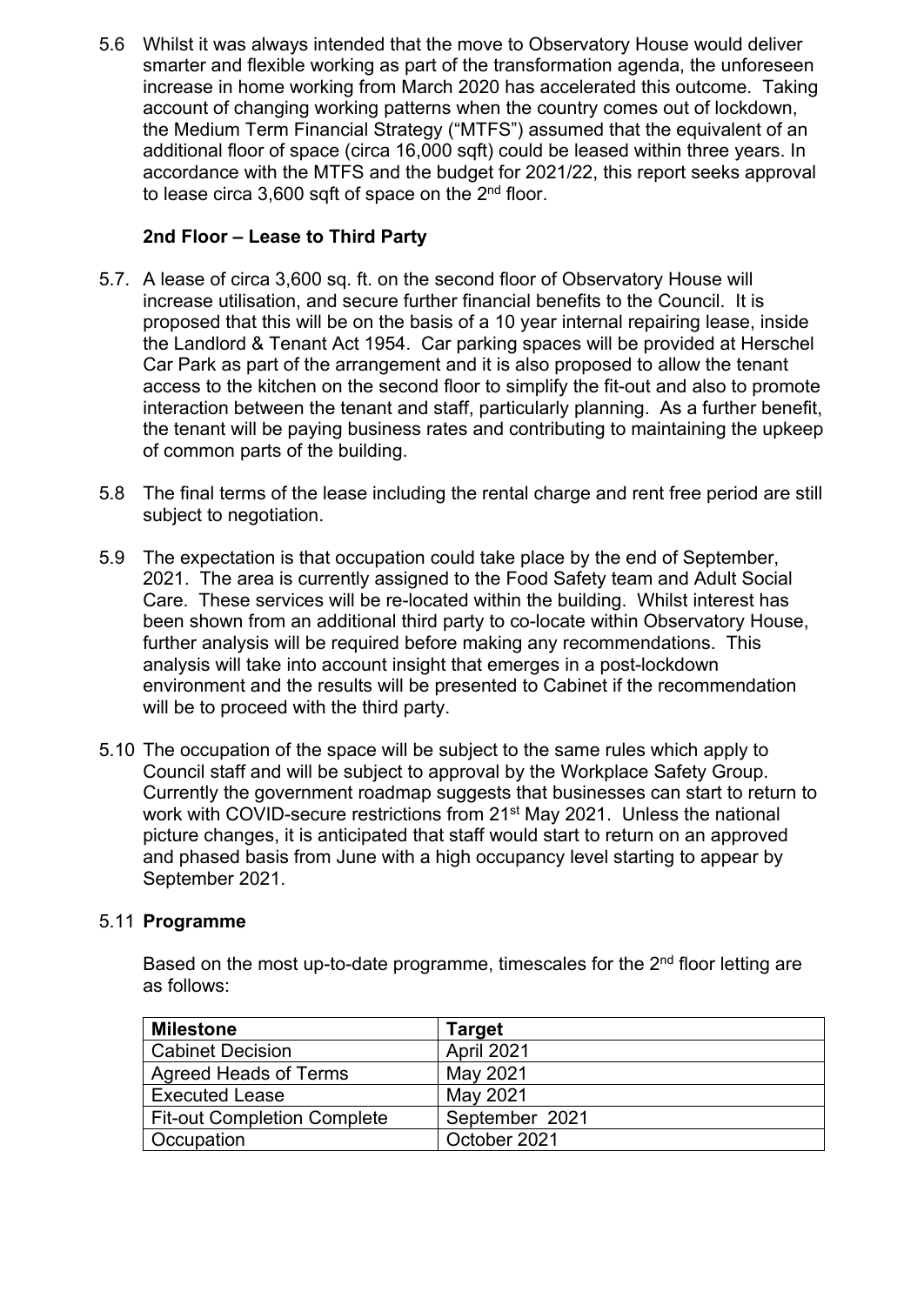5.6 Whilst it was always intended that the move to Observatory House would deliver smarter and flexible working as part of the transformation agenda, the unforeseen increase in home working from March 2020 has accelerated this outcome. Taking account of changing working patterns when the country comes out of lockdown, the Medium Term Financial Strategy ("MTFS") assumed that the equivalent of an additional floor of space (circa 16,000 sqft) could be leased within three years. In accordance with the MTFS and the budget for 2021/22, this report seeks approval to lease circa 3,600 sqft of space on the 2<sup>nd</sup> floor.

# **2nd Floor – Lease to Third Party**

- 5.7. A lease of circa 3,600 sq. ft. on the second floor of Observatory House will increase utilisation, and secure further financial benefits to the Council. It is proposed that this will be on the basis of a 10 year internal repairing lease, inside the Landlord & Tenant Act 1954. Car parking spaces will be provided at Herschel Car Park as part of the arrangement and it is also proposed to allow the tenant access to the kitchen on the second floor to simplify the fit-out and also to promote interaction between the tenant and staff, particularly planning. As a further benefit, the tenant will be paying business rates and contributing to maintaining the upkeep of common parts of the building.
- 5.8 The final terms of the lease including the rental charge and rent free period are still subject to negotiation.
- 5.9 The expectation is that occupation could take place by the end of September, 2021. The area is currently assigned to the Food Safety team and Adult Social Care. These services will be re-located within the building. Whilst interest has been shown from an additional third party to co-locate within Observatory House, further analysis will be required before making any recommendations. This analysis will take into account insight that emerges in a post-lockdown environment and the results will be presented to Cabinet if the recommendation will be to proceed with the third party.
- 5.10 The occupation of the space will be subject to the same rules which apply to Council staff and will be subject to approval by the Workplace Safety Group. Currently the government roadmap suggests that businesses can start to return to work with COVID-secure restrictions from 21<sup>st</sup> May 2021. Unless the national picture changes, it is anticipated that staff would start to return on an approved and phased basis from June with a high occupancy level starting to appear by September 2021.

#### 5.11 **Programme**

Based on the most up-to-date programme, timescales for the 2<sup>nd</sup> floor letting are as follows:

| <b>Milestone</b>                   | Target         |
|------------------------------------|----------------|
| <b>Cabinet Decision</b>            | April 2021     |
| Agreed Heads of Terms              | May 2021       |
| <b>Executed Lease</b>              | May 2021       |
| <b>Fit-out Completion Complete</b> | September 2021 |
| <b>Occupation</b>                  | October 2021   |